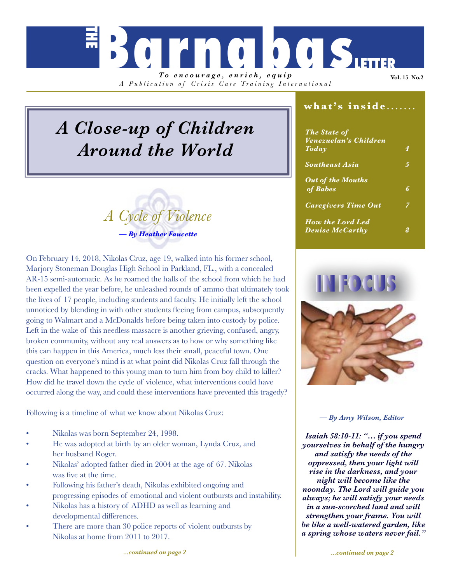*To encourage, enrich, equip A Publication of Crisis Care Training Inter national*

**Barnabas** 

# *A Close-up of Children Around the World*

# *A Cycle of Violence — By Heather Faucette*

On February 14, 2018, Nikolas Cruz, age 19, walked into his former school, Marjory Stoneman Douglas High School in Parkland, FL., with a concealed AR-15 semi-automatic. As he roamed the halls of the school from which he had been expelled the year before, he unleashed rounds of ammo that ultimately took the lives of 17 people, including students and faculty. He initially left the school unnoticed by blending in with other students fleeing from campus, subsequently going to Walmart and a McDonalds before being taken into custody by police. Left in the wake of this needless massacre is another grieving, confused, angry, broken community, without any real answers as to how or why something like this can happen in this America, much less their small, peaceful town. One question on everyone's mind is at what point did Nikolas Cruz fall through the cracks. What happened to this young man to turn him from boy child to killer? How did he travel down the cycle of violence, what interventions could have occurred along the way, and could these interventions have prevented this tragedy?

Following is a timeline of what we know about Nikolas Cruz:

- Nikolas was born September 24, 1998.
- He was adopted at birth by an older woman, Lynda Cruz, and her husband Roger.
- Nikolas' adopted father died in 2004 at the age of 67. Nikolas was five at the time.
- Following his father's death, Nikolas exhibited ongoing and progressing episodes of emotional and violent outbursts and instability.
- Nikolas has a history of ADHD as well as learning and developmental differences.
- There are more than 30 police reports of violent outbursts by Nikolas at home from 2011 to 2017.

### **what's inside** *.......*

**Vol. 15 No.2**

| <b>The State of</b><br>Venezuelan's Children |   |
|----------------------------------------------|---|
| Today                                        | 4 |
| <b>Southeast Asia</b>                        | 5 |
| <b>Out of the Mouths</b>                     |   |
| of Babes                                     | 6 |
| <b>Caregivers Time Out</b>                   | 7 |
| <b>How the Lord Led</b>                      |   |
| <b>Denise McCarthy</b>                       |   |



### *— By Amy Wilson, Editor*

*Isaiah 58:10-11: "… if you spend yourselves in behalf of the hungry and satisfy the needs of the oppressed, then your light will rise in the darkness, and your night will become like the noonday. The Lord will guide you always; he will satisfy your needs in a sun-scorched land and will strengthen your frame. You will be like a well-watered garden, like a spring whose waters never fail."*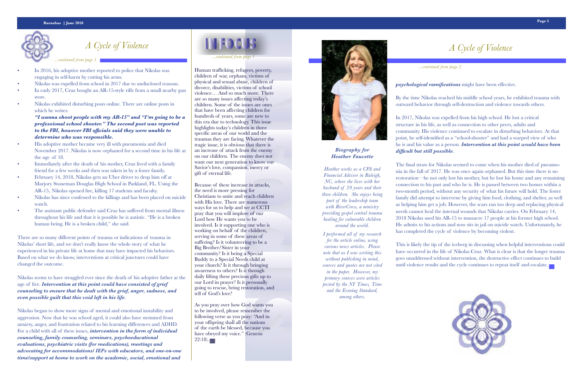- In 2016, his adoptive mother reported to police that Nikolas was engaging in self-harm by cutting his arms.
- Nikolas was expelled from school in 2017 due to undisclosed reasons.
- In early 2017, Cruz bought an AR-15-style rifle from a small nearby gun store.
- Nikolas exhibited disturbing posts online. There are online posts in which he writes:

*"I wanna shoot people with my AR-15" and "I'm going to be a professional school shooter." The second post was reported to the FBI, however FBI officials said they were unable to determine who was responsible.*

- His adoptive mother became very ill with pneumonia and died November 2017. Nikolas is now orphaned for a second time in his life at the age of 18.
- Immediately after the death of his mother, Cruz lived with a family friend for a few weeks and then was taken in by a foster family.
- February 14, 2018, Nikolas gets an Uber driver to drop him off at Marjory Stoneman Douglas High School in Parkland, FL. Using the AR-15, Nikolas opened fire, killing 17 students and faculty.
- Nikolas has since confessed to the killings and has been placed on suicide watch.
- The assistant public defender said Cruz has suffered from mental illness throughout his life and that it is possible he is autistic. "He is a broken human being. He is a broken child,'' she said.

There are so many different points of trauma or indications of trauma in Nikolas' short life, and we don't really know the whole story of what he experienced in his private life at home that may have impacted his behaviors. Based on what we do know, interventions at critical junctures could have changed the outcome.

Nikolas seems to have struggled ever since the death of his adoptive father at the age of five. *Intervention at this point could have consisted of grief counseling to ensure that he dealt with the grief, anger, sadness, and even possible guilt that this void left in his life.*

> As you pray over how God wants you to be involved, please remember the following verse as you pray: "And in your offspring shall all the nations of the earth be blessed, because you have obeyed my voice." (Genesis  $22:18.$

Nikolas began to show more signs of mental and emotional instability and aggression. Now that he was school aged, it could also have stemmed from anxiety, anger, and frustration related to his learning differences and ADHD. For a child with all of these issues, *intervention in the form of individual counseling, family counseling, seminars, psychoeducational evaluations, psychiatric visits (for medications), meetings and advocating for accommodations/ IEPs with educators, and one-on-one time/support at home to work on the academic, social, emotional and* 

# **INFOCUS**



## *A Cycle of Violence*

 *...continued from page 1*

## *A Cycle of Violence*

Human trafficking, refugees, poverty, children of war, orphans, victims of physical and sexual abuse, children of divorce, disabilities, victims of school violence… And so much more. There are so many issues affecting today's children. Some of the issues are ones that have been affecting children for hundreds of years, some are new to this era due to technology. This issue highlights today's children in three specific areas of our world and the traumas they are facing. Whatever the tragic issue, it is obvious that there is an increase of attack from the enemy on our children. The enemy does not want our next generation to know our Savior's love, compassion, mercy or gift of eternal life.

Because of these increase in attacks, the need is more pressing for Christians to unite and reach children with His love. There are numerous ways for us to help and we at CCTI pray that you will implore of our Lord how He wants you to be involved. Is it supporting one who is working on behalf of the children, serving in some of these areas of suffering? Is it volunteering to be a Big Brother/Sister in your community? Is it being a Special Buddy to a Special Needs child at your church? Is it through bringing awareness to others? Is it through daily lifting these precious gifts up to our Lord in prayer? Is it personally going to rescue, bring restoration, and tell of God's love?

 *...continued from page 1*

 *...continued from page 2*

*psychological ramifications* might have been effective.



By the time Nikolas reached his middle school years, he exhibited trauma with outward behavior through self-destruction and violence towards others.

In 2017, Nikolas was expelled from his high school. He lost a critical structure in his life, as well as connection to other peers, adults and community. His violence continued to escalate in disturbing behaviors. At that point, he self-identified as a "school-shooter" and had a warped view of who he is and his value as a person. *Intervention at this point would have been difficult but still possible.* 

The final straw for Nikolas seemed to come when his mother died of pneumonia in the fall of 2017. He was once again orphaned. But this time there is no restoration—he not only lost his mother, but he lost his home and any remaining connection to his past and who he is. He is passed between two homes within a two-month period, without any security of what his future will hold. The foster family did attempt to intervene by giving him food, clothing, and shelter, as well as helping him get a job. However, the scars ran too deep and replacing physical needs cannot heal the internal wounds that Nikolas carries. On February 14, 2018 Nikolas used his AR-15 to massacre 17 people at his former high school. He admits to his actions and now sits in jail on suicide watch. Unfortunately, he has completed the cycle of violence by becoming violent.

This is likely the tip of the iceberg in discussing when helpful interventions could have occurred in the life of Nikolas Cruz. What is clear is that the longer trauma goes unaddressed without intervention, the destructive effect continues to build until violence results and the cycle continues to repeat itself and escalate.

### *Biography for Heather Faucette*

*Heather works as a CPA and Financial Advisor in Raleigh, NC, where she lives with her husband of 20 years and their three children. She enjoys being part of the leadership team with RiverCross, a ministry providing gospel central trauma healing for vulnerable children around the world.* 

*I performed all of my research for the article online, using various news articles. Please note that as I was writing this without publishing in mind, sources and quotes are not cited in the paper. However, my primary sources were articles posted by the NY Times, Time and the Evening Standard, among others.*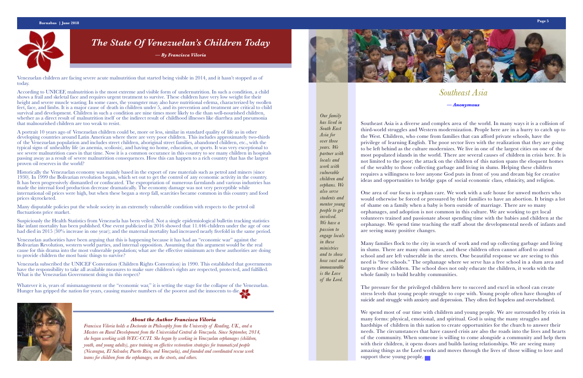Southeast Asia is a diverse and complex area of the world. In many ways it is a collision of third-world struggles and Western modernization. People here are in a hurry to catch up to the West. Children, who come from families that can afford private schools, have the privilege of learning English. The poor sector lives with the realization that they are going to be left behind as the culture modernizes. We live in one of the largest cities on one of the most populated islands in the world. There are several causes of children in crisis here. It is not limited to the poor; the attack on the children of this nation spans the eloquent homes of the wealthy to those collecting garbage and living in slums. Helping these children requires a willingness to love anyone God puts in front of you and dream big for creative ideas and opportunities to bridge gaps of social economic class, ethnicity, and religion.

One area of our focus is orphan care. We work with a safe house for unwed mothers who would otherwise be forced or pressured by their families to have an abortion. It brings a lot of shame on a family when a baby is born outside of marriage. There are so many orphanages, and adoption is not common in this culture. We are working to get local volunteers trained and passionate about spending time with the babies and children at the orphanage. We spend time teaching the staff about the developmental needs of infants and are seeing many positive changes.

Many families flock to the city in search of work and end up collecting garbage and living in slums. There are many slum areas, and these children often cannot afford to attend school and are left vulnerable in the streets. One beautiful response we are seeing to this need is "free schools." The orphanage where we serve has a free school in a slum area and targets these children. The school does not only educate the children, it works with the whole family to build healthy communities.

The pressure for the privileged children here to succeed and excel in school can create stress levels that young people struggle to cope with. Young people often have thoughts of suicide and struggle with anxiety and depression. They often feel hopeless and overwhelmed.

We spend most of our time with children and young people. We are surrounded by crisis in many forms: physical, emotional, and spiritual. God is using the many struggles and hardships of children in this nation to create opportunities for the church to answer their needs. The circumstances that have caused crisis are also the roads into the lives and hearts of the community. When someone is willing to come alongside a community and help them with their children, it opens doors and builds lasting relationships. We are seeing many amazing things as the Lord works and moves through the lives of those willing to love and support these young people.



## *The State Of Venezuelan's Children Today*

*— By Francisca Viloria*

### *About the Author Francisca Viloria*

Suspiciously the Health Statistics from Venezuela has been veiled. Not a single epidemiological bulletin tracking statistics like infant mortality has been published. One event publicized in 2016 showed that 11.446 children under the age of one had died in 2015 (30% increase in one year); and the maternal mortality had increased nearly fivefold in the same period.

> *Francisca Viloria holds a Doctorate in Philosophy from the University of Reading, UK., and a Masters on Rural Development from the Universidad Central de Venezuela. Since September, 2014, she began working with WEC-CCTI. She began by working in Venezuelan orphanages (children, youth, and young adults), gave training on effective restoration strategies for traumatized people (Nicaragua, El Salvador, Puerto Rico, and Venezuela), and founded and coordinated rescue work teams for children from the orphanages, on the streets, and others.*

## *Southeast Asia — Anonymous*

*Our family has lived in South East Asia for over three years. We partner with locals and work with vulnerable children and orphans. We also serve students and mentor young people to get involved. We have a passion to engage locals in these ministries and to show how vast and immeasurable is the Love of the Lord.*



Venezuelan children are facing severe acute malnutrition that started being visible in 2014, and it hasn't stopped as of today.

According to UNICEF, malnutrition is the most extreme and visible form of undernutrition. In such a condition, a child shows a frail and skeletal face and requires urgent treatment to survive. These children have very low weight for their height and severe muscle wasting. In some cases, the youngster may also have nutritional edema, characterized by swollen feet, face, and limbs. It is a major cause of death in children under 5, and its prevention and treatment are critical to child survival and development. Children in such a condition are nine times more likely to die than well-nourished children, whether as a direct result of malnutrition itself or the indirect result of childhood illnesses like diarrhea and pneumonia that malnourished children are too weak to resist.

A portrait 10 years ago of Venezuelan children could be, more or less, similar in standard quality of life as in other developing countries around Latin American where there are very poor children. This includes approximately two-thirds of the Venezuelan population and includes street children, aboriginal street families, abandoned children, etc., with the typical signs of unhealthy life (as anemia, scoliosis), and having no home, education, or sports. It was very exceptional to see severe malnutrition cases in that time. Now it is a common occurance in this country to see many children in hospitals passing away as a result of severe malnutrition consequences. How this can happen to a rich country that has the largest proven oil reserves in the world?

Historically the Venezuelan economy was mainly based in the export of raw materials such as petrol and miners (since 1930). In 1999 the Bolivarian revolution began, which set out to get the control of any economic activity in the country. It has been progressively dismantled or confiscated. The expropriation of numerous farmlands and various industries has made the internal food production decrease dramatically. The economy damage was not very perceptible while international oil prices were high, but when these began a steep fall, scarcities became common in this country and food prices skyrocketed.

Many disputable policies put the whole society in an extremely vulnerable condition with respects to the petrol oil fluctuations price market.

Venezuelan authorities have been arguing that this is happening because it has had an "economic war" against the Bolivarian Revolution, western world parties, and internal opposition. Assuming that this argument would be the real cause for this drama into the most vulnerable population; what are the effective minimum acts these authorities are doing to provide children the most basic things to survive?

Venezuela subscribed the UNICEF Convention (Children Rights Convention) in 1990. This established that governments have the responsibility to take all available measures to make sure children's rights are respected, protected, and fulfilled. What is the Venezuelan Government doing in this respect?

Whatever it is, years of mismanagement or the "economic war," it is setting the stage for the collapse of the Venezuelan. Hunger has gripped the nation for years, causing massive numbers of the poorest and the innocents to die.



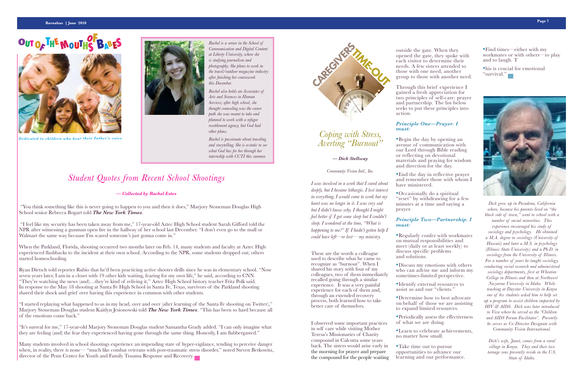

### **Barnabas | June 2018 Page 7**

### **OUTO<sup>F</sup> TH<sup>E</sup> <sup>M</sup>OUTH BABE<sup>S</sup> OF S**



*Dedicated to children who hear their Father's voice*



### *Student Quotes from Recent School Shootings*

### *— Collected by Rachel Estes*

 "You think something like this is never going to happen to you and then it does," Marjory Stoneman Douglas High School senior Rebecca Bogart told *The New York Times*.

 "I feel like my security has been taken away from me," 17-year-old Aztec High School student Sarah Gifford told the NPR after witnessing a gunman open fire in the hallway of her school last December. "I don't even go to the mall or Walmart the same way because I'm scared someone's just gonna come in."

When the Parkland, Florida, shooting occurred two months later on Feb. 14, many students and faculty at Aztec High experienced flashbacks to the incident at their own school. According to the NPR, some students dropped out; others started homeschooling.

Ryan Dietsch told reporter Rubio that he'd been practicing active shooter drills since he was in elementary school. "Now seven years later, I am in a closet with 19 other kids waiting, fearing for my own life," he said, according to CNN. "They're watching the news (and)…they're kind of reliving it," Aztec High School history teacher Fritz Polk said. In response to the May 18 shooting at Santa Fe High School in Santa Fe, Texas, survivors of the Parkland shooting shared their shock and grief over having this experience in common with other students.

"I started replaying what happened to us in my head, over and over (after learning of the Santa Fe shooting on Twitter)," Marjory Stoneman Douglas student Kaitlyn Jesionowski told *The New York Times*. "This has been so hard because all of the emotions come back."

"It's surreal for me," 17-year-old Marjory Stoneman Douglas student Samantha Grady added. "I can only imagine what they are feeling (and) the fear they experienced having gone through the same thing. Honestly, I am flabbergasted."

Many students involved in school shootings experience an impending state of hyper-vigilance, tending to perceive danger when, in reality, there is none— "much like combat veterans with post-traumatic stress disorder," noted Steven Berkowitz, director of the Penn Center for Youth and Family Trauma Response and Recovery.

### *Coping with Stress, Averting "Burnout"*

### *— Dick Stellway*

#### *Community Vision Intl., Inc.*

*I was involved in a work that I cared about deeply, but I became lethargic. I lost interest in everything. I would come to work but my heart was no longer in it. I was very sad but I didn't know why. I thought I might feel better if I got some sleep but I couldn't sleep. I wondered at the time, "What is happening to me?" If I hadn't gotten help I could have left—or lost— my ministry.*

These are the words a colleague used to describe what he came to recognize as "burnout". When I shared his story with four of my colleagues, two of them immediately recalled going through a similar experience. It was a very painful experience for each of them and, through an extended recovery process, both learned how to take better care of themselves.

I observed some important practices in self care while visiting Mother Teresa's Missionaries of Charity compound in Calcutta some years back. The sisters would arise early in the morning for prayer and prepare the compound for the people waiting

*Rachel is a senior in the School of Communication and Digital Content at Liberty University, where she is studying journalism and photography. She plans to work in the travel/outdoor magazine industry after finishing her coursework this December.*

*Rachel also holds an Associates of Arts and Sciences in Human Services; after high school, she thought counseling was the career path she was meant to take and planned to work with a refugee resettlement agency, but God had other plans.*

*Rachel is passionate about traveling and storytelling. She is ecstatic to see what God has for her through her internship with CCTI this summer.*

> *Dick grew up in Pasadena, California where, because his parents lived on "the black side of town," went to school with a number of racial minorities. This experience encouraged his study of sociology and psychology. He obtained a M.A. degree in sociology (University of Hawaii) and later a M.S. in psychology (Illinois State University) and a Ph.D. in sociology from the University of Illinois. For a number of years he taught sociology, conducting social research and administered sociology departments, first at Wheaton College in Illinois and then at Northwest Nazarene University in Idaho. While teaching at Daystar University in Kenya one of his students asked him to help set up a program to assist children impacted by HIV & AIDS. Dick was later introduced to Viva where he served as the 'Children and AIDS Forum Facilitator'. Presently he serves as Co-Director Designate with Community Vision International.*

*Dick's wife, Janet, comes from a rural village in Kenya. They and their two teenage sons presently reside in the U.S. State of Idaho.*

outside the gate. When they opened the gate, they spoke with each visitor to determine their needs. A few sisters attended to those with one need, another group to those with another need.

Through this brief experience I gained a fresh appreciation for two principles of self-care: prayer and partnership. The list below seeks to put these principles into action.

### *Principle One—Prayer. I must:*

•Begin the day by opening an avenue of communication with our Lord through Bible reading or reflecting on devotional materials and praying for wisdom and direction for the day.

•End the day in reflective prayer and remember those with whom I have ministered.

•Occasionally do a spiritual "reset" by withdrawing for a few minutes at a time and saying a prayer.

### *Principle Two—Partnership. I must:*

•Regularly confer with workmates on mutual responsibilities and meet (daily or at least weekly) to discuss specific problems and solutions.

•Discuss my emotions with others who can advise me and inform my sometimes-limited perspective.

•Identify external resources to assist us and our "clients."

•Determine how to best advocate on behalf of those we are assisting to expand limited resources.

•Periodically assess the effectiveness of what we are doing.

•Learn to celebrate achievements, no matter how small.

•Take time out to pursue opportunities to advance our learning and our performance.

•Find times—either with my workmates or with others—to play and to laugh. T

•his is crucial for emotional "survival."